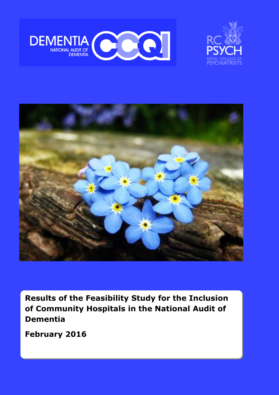





**Results of the Feasibility Study for the Inclusion of Community Hospitals in the National Audit of Dementia**

**February 2016**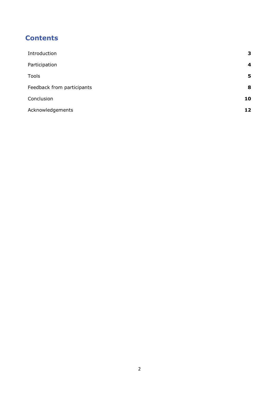## **Contents**

| Introduction               | 3  |
|----------------------------|----|
| Participation              | 4  |
| Tools                      | 5  |
| Feedback from participants | 8  |
| Conclusion                 | 10 |
| Acknowledgements           | 12 |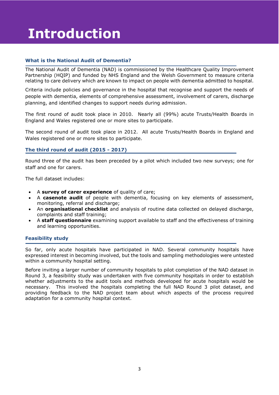# **Introduction**

#### **What is the National Audit of Dementia?**

The National Audit of Dementia (NAD) is commissioned by the Healthcare Quality Improvement Partnership (HQIP) and funded by NHS England and the Welsh Government to measure criteria relating to care delivery which are known to impact on people with dementia admitted to hospital.

Criteria include policies and governance in the hospital that recognise and support the needs of people with dementia, elements of comprehensive assessment, involvement of carers, discharge planning, and identified changes to support needs during admission.

The first round of audit took place in 2010. Nearly all (99%) acute Trusts/Health Boards in England and Wales registered one or more sites to participate.

The second round of audit took place in 2012. All acute Trusts/Health Boards in England and Wales registered one or more sites to participate.

#### **The third round of audit (2015 - 2017)**

Round three of the audit has been preceded by a pilot which included two new surveys; one for staff and one for carers.

The full dataset includes:

- A **survey of carer experience** of quality of care;
- A **casenote audit** of people with dementia, focusing on key elements of assessment, monitoring, referral and discharge;
- An **organisational checklist** and analysis of routine data collected on delayed discharge, complaints and staff training;
- A **staff questionnaire** examining support available to staff and the effectiveness of training and learning opportunities.

#### **Feasibility study**

So far, only acute hospitals have participated in NAD. Several community hospitals have expressed interest in becoming involved, but the tools and sampling methodologies were untested within a community hospital setting.

Before inviting a larger number of community hospitals to pilot completion of the NAD dataset in Round 3, a feasibility study was undertaken with five community hospitals in order to establish whether adjustments to the audit tools and methods developed for acute hospitals would be necessary. This involved the hospitals completing the full NAD Round 3 pilot dataset, and providing feedback to the NAD project team about which aspects of the process required adaptation for a community hospital context.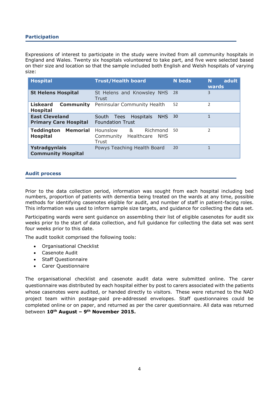#### **Participation**

Expressions of interest to participate in the study were invited from all community hospitals in England and Wales. Twenty six hospitals volunteered to take part, and five were selected based on their size and location so that the sample included both English and Welsh hospitals of varying size:

| <b>Hospital</b>                                                                                                              | <b>Trust/Health board</b>                                                   | <b>N</b> beds | adult<br>N<br>wards      |
|------------------------------------------------------------------------------------------------------------------------------|-----------------------------------------------------------------------------|---------------|--------------------------|
| <b>St Helens Hospital</b>                                                                                                    | St Helens and Knowsley NHS<br>Trust                                         | -28           | 3                        |
| <b>Liskeard</b><br><b>Community</b><br><b>Hospital</b>                                                                       | Peninsular Community Health                                                 | 52            | 2                        |
| <b>East Cleveland</b><br>Hospitals<br><b>NHS</b><br>South<br>Tees<br><b>Foundation Trust</b><br><b>Primary Care Hospital</b> |                                                                             | 30            |                          |
| <b>Memorial</b><br><b>Teddington</b><br><b>Hospital</b>                                                                      | Hounslow<br>&<br>Richmond<br>Healthcare<br>Community<br><b>NHS</b><br>Trust | 50            | $\overline{\phantom{a}}$ |
| Ystradgynlais<br><b>Community Hospital</b>                                                                                   | Powys Teaching Health Board                                                 | 20            | 1                        |

#### **Audit process**

Prior to the data collection period, information was sought from each hospital including bed numbers, proportion of patients with dementia being treated on the wards at any time, possible methods for identifying casenotes eligible for audit, and number of staff in patient-facing roles. This information was used to inform sample size targets, and guidance for collecting the data set.

Participating wards were sent guidance on assembling their list of eligible casenotes for audit six weeks prior to the start of data collection, and full guidance for collecting the data set was sent four weeks prior to this date.

The audit toolkit comprised the following tools:

- Organisational Checklist
- Casenote Audit
- Staff Questionnaire
- Carer Questionnaire

The organisational checklist and casenote audit data were submitted online. The carer questionnaire was distributed by each hospital either by post to carers associated with the patients whose casenotes were audited, or handed directly to visitors. These were returned to the NAD project team within postage-paid pre-addressed envelopes. Staff questionnaires could be completed online or on paper, and returned as per the carer questionnaire. All data was returned between **10th August – 9th November 2015.**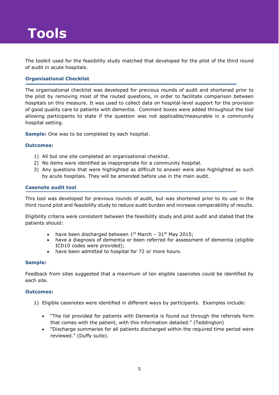# **Tools**

The toolkit used for the feasibility study matched that developed for the pilot of the third round of audit in acute hospitals.

#### **Organisational Checklist**

The organisational checklist was developed for previous rounds of audit and shortened prior to the pilot by removing most of the routed questions, in order to facilitate comparison between hospitals on this measure. It was used to collect data on hospital-level support for the provision of good quality care to patients with dementia. Comment boxes were added throughout the tool allowing participants to state if the question was not applicable/measurable in a community hospital setting.

**Sample:** One was to be completed by each hospital.

#### **Outcomes:**

- 1) All but one site completed an organisational checklist.
- 2) No items were identified as inappropriate for a community hospital.
- 3) Any questions that were highlighted as difficult to answer were also highlighted as such by acute hospitals. They will be amended before use in the main audit.

#### **Casenote audit tool**

This tool was developed for previous rounds of audit, but was shortened prior to its use in the third round pilot and feasibility study to reduce audit burden and increase comparability of results.

Eligibility criteria were consistent between the feasibility study and pilot audit and stated that the patients should:

- have been discharged between  $1^{st}$  March  $31^{st}$  May 2015;
- have a diagnosis of dementia or been referred for assessment of dementia (eligible ICD10 codes were provided);
- have been admitted to hospital for 72 or more hours.

#### **Sample:**

Feedback from sites suggested that a maximum of ten eligible casenotes could be identified by each site.

#### **Outcomes:**

- 1) Eligible casenotes were identified in different ways by participants. Examples include:
	- "The list provided for patients with Dementia is found out through the referrals form that comes with the patient, with this information detailed." (Teddington)
	- "Discharge summaries for all patients discharged within the required time period were reviewed." (Duffy suite).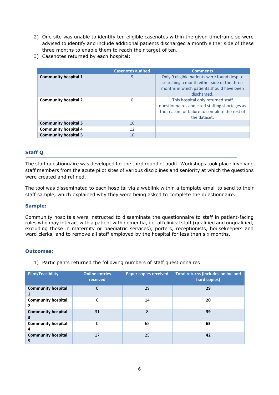- 2) One site was unable to identify ten eligible casenotes within the given timeframe so were advised to identify and include additional patients discharged a month either side of these three months to enable them to reach their target of ten.
- 3) Casenotes returned by each hospital:

|                             | <b>Casenotes audited</b> | <b>Comments</b>                                                                                                                                       |
|-----------------------------|--------------------------|-------------------------------------------------------------------------------------------------------------------------------------------------------|
| <b>Community hospital 1</b> | 9                        | Only 9 eligible patients were found despite<br>searching a month either side of the three<br>months in which patients should have been<br>discharged. |
| <b>Community hospital 2</b> | 0                        | This hospital only returned staff<br>questionnaires and cited staffing shortages as<br>the reason for failure to complete the rest of<br>the dataset. |
| <b>Community hospital 3</b> | 10                       |                                                                                                                                                       |
| <b>Community hospital 4</b> | 12                       |                                                                                                                                                       |
| <b>Community hospital 5</b> | 10                       |                                                                                                                                                       |

#### **Staff Q**

The staff questionnaire was developed for the third round of audit. Workshops took place involving staff members from the acute pilot sites of various disciplines and seniority at which the questions were created and refined.

The tool was disseminated to each hospital via a weblink within a template email to send to their staff sample, which explained why they were being asked to complete the questionnaire.

#### **Sample:**

Community hospitals were instructed to disseminate the questionnaire to staff in patient-facing roles who may interact with a patient with dementia, i.e. all clinical staff (qualified and unqualified, excluding those in maternity or paediatric services), porters, receptionists, housekeepers and ward clerks, and to remove all staff employed by the hospital for less than six months.

#### **Outcomes:**

1) Participants returned the following numbers of staff questionnaires:

| <b>Pilot/Feasibility</b>       | <b>Online entries</b><br>received | <b>Paper copies received</b> | <b>Total returns (includes online and</b><br>hard copies) |
|--------------------------------|-----------------------------------|------------------------------|-----------------------------------------------------------|
| <b>Community hospital</b>      | 0                                 | 29                           | 29                                                        |
| <b>Community hospital</b><br>2 | 6                                 | 14                           | 20                                                        |
| <b>Community hospital</b><br>3 | 31                                | 8                            | 39                                                        |
| <b>Community hospital</b><br>4 | 0                                 | 65                           | 65                                                        |
| <b>Community hospital</b><br>5 | 17                                | 25                           | 42                                                        |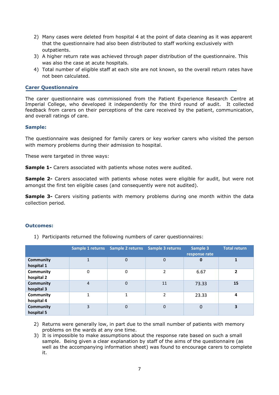- 2) Many cases were deleted from hospital 4 at the point of data cleaning as it was apparent that the questionnaire had also been distributed to staff working exclusively with outpatients.
- 3) A higher return rate was achieved through paper distribution of the questionnaire. This was also the case at acute hospitals.
- 4) Total number of eligible staff at each site are not known, so the overall return rates have not been calculated.

#### **Carer Questionnaire**

The carer questionnaire was commissioned from the Patient Experience Research Centre at Imperial College, who developed it independently for the third round of audit. It collected feedback from carers on their perceptions of the care received by the patient, communication, and overall ratings of care.

#### **Sample:**

The questionnaire was designed for family carers or key worker carers who visited the person with memory problems during their admission to hospital.

These were targeted in three ways:

**Sample 1-** Carers associated with patients whose notes were audited.

**Sample 2-** Carers associated with patients whose notes were eligible for audit, but were not amongst the first ten eligible cases (and consequently were not audited).

**Sample 3-** Carers visiting patients with memory problems during one month within the data collection period.

#### **Outcomes:**

1) Participants returned the following numbers of carer questionnaires:

|                                |                | Sample 1 returns Sample 2 returns Sample 3 returns |                          | Sample 3<br>response rate | <b>Total return</b> |
|--------------------------------|----------------|----------------------------------------------------|--------------------------|---------------------------|---------------------|
| <b>Community</b><br>hospital 1 |                | $\Omega$                                           | $\mathbf 0$              | $\bf{0}$                  |                     |
| <b>Community</b><br>hospital 2 | 0              | 0                                                  | 2                        | 6.67                      | 2                   |
| <b>Community</b><br>hospital 3 | 4              | $\Omega$                                           | 11                       | 73.33                     | 15                  |
| Community<br>hospital 4        | $\overline{ }$ | 1                                                  | $\overline{\phantom{a}}$ | 23.33                     | 4                   |
| <b>Community</b><br>hospital 5 | 3              | $\Omega$                                           | $\Omega$                 | $\mathbf 0$               | 3                   |

2) Returns were generally low, in part due to the small number of patients with memory problems on the wards at any one time.

3) It is impossible to make assumptions about the response rate based on such a small sample. Being given a clear explanation by staff of the aims of the questionnaire (as well as the accompanying information sheet) was found to encourage carers to complete it.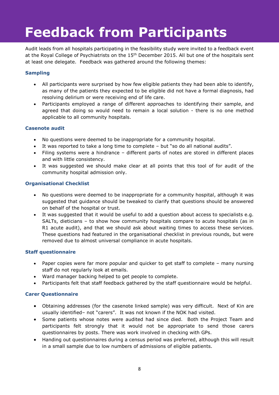# **Feedback from Participants**

Audit leads from all hospitals participating in the feasibility study were invited to a feedback event at the Royal College of Psychiatrists on the 15<sup>th</sup> December 2015. All but one of the hospitals sent at least one delegate. Feedback was gathered around the following themes:

#### **Sampling**

- All participants were surprised by how few eligible patients they had been able to identify, as many of the patients they expected to be eligible did not have a formal diagnosis, had resolving delirium or were receiving end of life care.
- Participants employed a range of different approaches to identifying their sample, and agreed that doing so would need to remain a local solution - there is no one method applicable to all community hospitals.

#### **Casenote audit**

- No questions were deemed to be inappropriate for a community hospital.
- It was reported to take a long time to complete but "so do all national audits".
- Filing systems were a hindrance different parts of notes are stored in different places and with little consistency.
- It was suggested we should make clear at all points that this tool of for audit of the community hospital admission only.

#### **Organisational Checklist**

- No questions were deemed to be inappropriate for a community hospital, although it was suggested that guidance should be tweaked to clarify that questions should be answered on behalf of the hospital or trust.
- It was suggested that it would be useful to add a question about access to specialists e.g. SALTs, dieticians – to show how community hospitals compare to acute hospitals (as in R1 acute audit), and that we should ask about waiting times to access these services. These questions had featured in the organisational checklist in previous rounds, but were removed due to almost universal compliance in acute hospitals.

#### **Staff questionnaire**

- Paper copies were far more popular and quicker to get staff to complete many nursing staff do not regularly look at emails.
- Ward manager backing helped to get people to complete.
- Participants felt that staff feedback gathered by the staff questionnaire would be helpful.

#### **Carer Questionnaire**

- Obtaining addresses (for the casenote linked sample) was very difficult. Next of Kin are usually identified– not "carers". It was not known if the NOK had visited.
- Some patients whose notes were audited had since died. Both the Project Team and participants felt strongly that it would not be appropriate to send those carers questionnaires by posts. There was work involved in checking with GPs.
- Handing out questionnaires during a census period was preferred, although this will result in a small sample due to low numbers of admissions of eligible patients.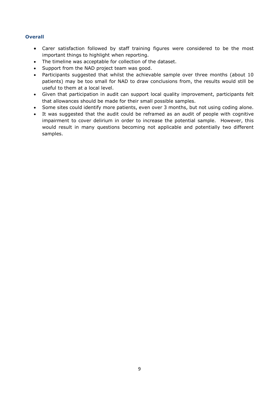#### **Overall**

- Carer satisfaction followed by staff training figures were considered to be the most important things to highlight when reporting.
- The timeline was acceptable for collection of the dataset.
- Support from the NAD project team was good.
- Participants suggested that whilst the achievable sample over three months (about 10 patients) may be too small for NAD to draw conclusions from, the results would still be useful to them at a local level.
- Given that participation in audit can support local quality improvement, participants felt that allowances should be made for their small possible samples.
- Some sites could identify more patients, even over 3 months, but not using coding alone.
- It was suggested that the audit could be reframed as an audit of people with cognitive impairment to cover delirium in order to increase the potential sample. However, this would result in many questions becoming not applicable and potentially two different samples.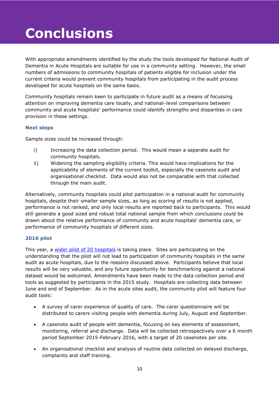# **Conclusions**

With appropriate amendments identified by the study the tools developed for National Audit of Dementia in Acute Hospitals are suitable for use in a community setting. However, the small numbers of admissions to community hospitals of patients eligible for inclusion under the current criteria would prevent community hospitals from participating in the audit process developed for acute hospitals on the same basis.

Community hospitals remain keen to participate in future audit as a means of focussing attention on improving dementia care locally, and national–level comparisons between community and acute hospitals' performance could identify strengths and disparities in care provision in these settings.

#### **Next steps**

Sample sizes could be increased through:

- i) Increasing the data collection period. This would mean a separate audit for community hospitals.
- ii) Widening the sampling eligibility criteria. This would have implications for the applicability of elements of the current toolkit, especially the casenote audit and organisational checklist. Data would also not be comparable with that collected through the main audit.

Alternatively, community hospitals could pilot participation in a national audit for community hospitals, despite their smaller sample sizes, as long as scoring of results is not applied, performance is not ranked, and only local results are reported back to participants. This would still generate a good sized and robust total national sample from which conclusions could be drawn about the relative performance of community and acute hospitals' dementia care, or performance of community hospitals of different sizes.

#### **2016 pilot**

This year, a wider pilot of 20 [hospitals](http://www.rcpsych.ac.uk/workinpsychiatry/qualityimprovement/nationalclinicalaudits/dementia/nationalauditofdementia/thirdroundofaudit/participatinghospitals.aspx) is taking place. Sites are participating on the understanding that the pilot will not lead to participation of community hospitals in the same audit as acute hospitals, due to the reasons discussed above. Participants believe that local results will be very valuable, and any future opportunity for benchmarking against a national dataset would be welcomed. Amendments have been made to the data collection period and tools as suggested by participants in the 2015 study. Hospitals are collecting data between June and end of September. As in the acute sites audit, the community pilot will feature four audit tools:

- A survey of carer experience of quality of care. The carer questionnaire will be distributed to carers visiting people with dementia during July, August and September.
- A casenote audit of people with dementia, focusing on key elements of assessment, monitoring, referral and discharge. Data will be collected retrospectively over a 6 month period September 2015-February 2016, with a target of 20 casenotes per site.
- An organisational checklist and analysis of routine data collected on delayed discharge, complaints and staff training.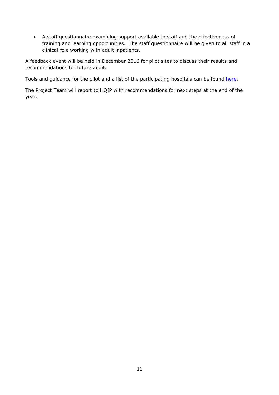A staff questionnaire examining support available to staff and the effectiveness of training and learning opportunities. The staff questionnaire will be given to all staff in a clinical role working with adult inpatients.

A feedback event will be held in December 2016 for pilot sites to discuss their results and recommendations for future audit.

Tools and guidance for the pilot and a list of the participating hospitals can be found [here.](http://www.rcpsych.ac.uk/workinpsychiatry/qualityimprovement/nationalclinicalaudits/dementia/nationalauditofdementia/thirdroundofaudit/communityhospitalpilot.aspx)

The Project Team will report to HQIP with recommendations for next steps at the end of the year.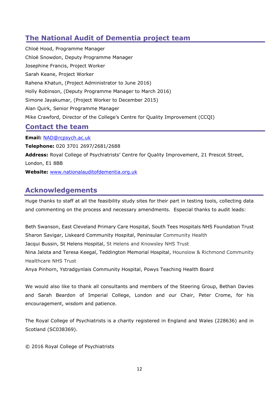## **The National Audit of Dementia project team**

Chloë Hood, Programme Manager Chloë Snowdon, Deputy Programme Manager Josephine Francis, Project Worker Sarah Keane, Project Worker Rahena Khatun, (Project Administrator to June 2016) Holly Robinson, (Deputy Programme Manager to March 2016) Simone Jayakumar, (Project Worker to December 2015) Alan Quirk, Senior Programme Manager Mike Crawford, Director of the College's Centre for Quality Improvement (CCQI)

### **Contact the team**

**Email:** [NAD@rcpsych.ac.uk](mailto:NAD@rcpsych.ac.uk)

**Telephone:** 020 3701 2697/2681/2688 **Address:** Royal College of Psychiatrists' Centre for Quality Improvement, 21 Prescot Street, London, E1 8BB **Website:** [www.nationalauditofdementia.org.uk](http://www.nationalauditofdementia.org.uk/)

## **Acknowledgements**

Huge thanks to staff at all the feasibility study sites for their part in testing tools, collecting data and commenting on the process and necessary amendments. Especial thanks to audit leads:

Beth Swanson, East Cleveland Primary Care Hospital, South Tees Hospitals NHS Foundation Trust Sharon Savigar, Liskeard Community Hospital, Peninsular Community Health Jacqui Bussin, St Helens Hospital, St Helens and Knowsley NHS Trust Nina Jalota and Teresa Keegal, Teddington Memorial Hospital, Hounslow & Richmond Community Healthcare NHS Trust

Anya Pinhorn, Ystradgynlais Community Hospital, Powys Teaching Health Board

We would also like to thank all consultants and members of the Steering Group, Bethan Davies and Sarah Beardon of Imperial College, London and our Chair, Peter Crome, for his encouragement, wisdom and patience.

The Royal College of Psychiatrists is a charity registered in England and Wales (228636) and in Scotland (SC038369).

© 2016 Royal College of Psychiatrists